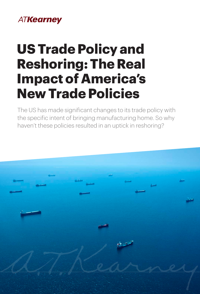# **ATKearney**

# **US Trade Policy and Reshoring: The Real Impact of America's New Trade Policies**

The US has made significant changes to its trade policy with the specific intent of bringing manufacturing home. So why haven't these policies resulted in an uptick in reshoring?

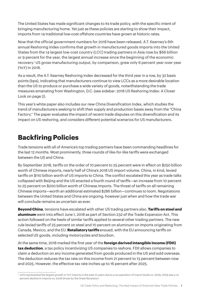The United States has made significant changes to its trade policy, with the specific intent of bringing manufacturing home. Yet just as these policies are starting to show their impact, imports from 14 traditional low-cost offshore countries have grown at historic rates.

Now that the official government numbers for 2018 have been released, A.T. Kearney's 6th annual Reshoring Index confirms that growth in manufactured goods imports into the United States from the 14 largest low-cost country (LCC) trading partners in Asia rose by \$66 billion or 9 percent for the year, the largest annual increase since the beginning of the economic recovery.1 US gross manufacturing output, by comparison, grew only 6 percent year-over-year (YoY) in 2018.

As a result, the A.T. Kearney Reshoring Index decreased for the third year in a row, by 32 basis points (bps), indicating that manufacturers continue to view LCCs as a more desirable location than the US to produce or purchase a wide variety of goods, notwithstanding the trade measures emanating from Washington, D.C. (see sidebar: 2018 US Reshoring Index: A Closer Look on page 2).

This year's white paper also includes our new China Diversification Index, which studies the trend of manufacturers seeking to shift their supply and production bases away from the "China Factory." The paper evaluates the impact of recent trade disputes on this diversification and its impact on US reshoring, and considers different potential scenarios for US manufacturers.

# **Backfiring Policies**

Trade tensions with all of America's top trading partners have been commanding headlines for the last 12 months. Most prominently, three rounds of like-for-like tariffs were exchanged between the US and China.

By September 2018, tariffs on the order of 10 percent to 25 percent were in effect on \$250 billion worth of Chinese imports, nearly half of China's 2018 US import volume. China, in kind, levied tariffs on \$110 billion worth of US imports to China. The conflict escalated this year as trade talks collapsed with Beijing and the US enacted a fourth round of tariffs—an increase from 10 percent to 25 percent on \$200 billion worth of Chinese imports. The threat of tariffs on all remaining Chinese imports—worth an additional estimated \$286 billion—continues to loom. Negotiations between the United States and China are ongoing, however just when and how the trade war will conclude remains as uncertain as ever.

**Beyond China**, tensions have escalated with other US trading partners also. **Tariffs on steel and aluminum** went into effect June 1, 2018 as part of Section 232 of the Trade Expansion Act. This action followed on the heels of similar tariffs applied to several other trading partners. The new rule levied tariffs of 25 percent on steel and 10 percent on aluminum on imports originating from Canada, Mexico, and the EU. **Retaliatory tariffs** ensued, with the EU announcing tariffs on selected US goods, including motorcycles and bourbon.

At the same time, 2018 marked the first year of the **foreign derived intangible income (FDII) tax deduction**, a tax policy incentivizing US companies to reshore. FDII allows companies to claim a deduction on any income generated from goods produced in the US and sold overseas. The deduction reduces the tax rate on this income from 21 percent to 13 percent between now and 2025. However, the effective tax rate inches up to 16 percent after 2025.

<sup>1</sup> 2010 represented the largest growth in YoY imports in the past 10 years due to a recuperation of import levels vs. 2009; 2009 saw a 14 percent decline in imports vs. 2008 driven by the Great Recession.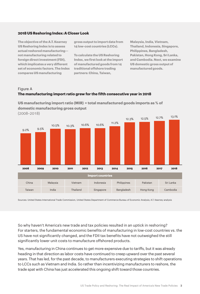#### **2018 US Reshoring Index: A Closer Look**

**The objective of the A.T. Kearney US Reshoring Index is to assess actual reshored manufacturing not manufacturing related to foreign direct investment (FDI), which implicates a very different set of economic factors. The Index compares US manufacturing** 

**gross output to import data from 14 low-cost countries (LCCs).**

**To calculate the US Reshoring Index, we first look at the import of manufactured goods from 14 traditional offshore trading partners: China, Taiwan,** 

**Malaysia, India, Vietnam, Thailand, Indonesia, Singapore, Philippines, Bangladesh, Pakistan, Hong Kong, Sri Lanka, and Cambodia. Next, we examine US domestic gross output of manufactured goods.**

#### Figure A

#### **The manufacturing import ratio grew for the fifth consecutive year in 2018**



**US manufacturing import ratio (MIR) = total manufactured goods imports as % of domestic manufacturing gross output**

Sources: United States International Trade Commission, United States Department of Commerce Bureau of Economic Analysis; A.T. Kearney analysis

So why haven't America's new trade and tax policies resulted in an uptick in reshoring? For starters, the fundamental economic benefits of manufacturing in low-cost countries vs. the US have not significantly changed, and the FDII tax benefits have not outweighed the still significantly lower unit costs to manufacture offshored products.

Yes, manufacturing in China continues to get more expensive due to tariffs, but it was already heading in that direction as labor costs have continued to creep upward over the past several years. That has led, for the past decade, to manufacturers executing strategies to shift operations to LCCs such as Vietnam and India. So rather than incentivizing manufacturers to reshore, the trade spat with China has just accelerated this ongoing shift toward those countries.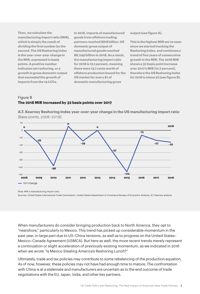**Then, we calculate the manufacturing import ratio (MIR), which is simply the result of dividing the first number by the second. The US Reshoring Index is the year-over-year change in the MIR, expressed in basis points. A positive number indicates net reshoring, or a growth in gross domestic output that exceeded the growth of imports from the 14 LCCs.**

**In 2018, imports of manufactured goods from offshore trading partners reached \$816 billion. US domestic gross output of manufactured goods reached \$6,249 billion in 2018. As a result, the manufacturing import ratio for 2018 is 13.1 percent, meaning there were 13.1 cents worth of offshore production bound for the US market for every \$1 of domestic manufacturing gross** 

**output (see figure A).** 

**This is the highest MIR we've seen since we started tracking the Reshoring Index, and continues a trend of five years of consecutive growth in the MIR. The 2018 MIR shows a 32 basis point increase over 2017's MIR (12.7 percent), therefore the US Reshoring Index for 2018 is minus 32 (see figure B).** 

### Figure B **The 2018 MIR increased by 32 basis points over 2017**

**A.T. Kearney Reshoring Index year-over-year change in the US manufacturing import ratio**  (Basis points, 2008–2018)



Note: MIR is manufacturing import ratio.

Sources: United States International Trade Commission, United States Department of Commerce Bureau of Economic Analysis; A.T. Kearney analysis

When manufacturers do consider bringing production back to North America, they opt to "nearshore," particularly to Mexico. This trend has picked up considerable momentum in the past year, in large part due to US–China tensions, as well as to progress on the United States– Mexico–Canada Agreement (USMCA). But here as well, the more recent trends merely represent a continuation or slight acceleration of previously existing momentum, as we [indicated in 2016](http://www.scw-mag.com/editors-blog/610-is-mexico-stealing-america-s-reshoring-lunch)  [when we wrote "Is Mexico Stealing America's Reshoring Lunch?"](http://www.scw-mag.com/editors-blog/610-is-mexico-stealing-america-s-reshoring-lunch)

Ultimately, trade and tax policies may contribute to some rebalancing of the production equation. As of now, however, these policies may not have had enough time to mature. The confrontation with China is at a stalemate and manufacturers are uncertain as to the end outcome of trade negotiations with the EU, Japan, India, and other key partners.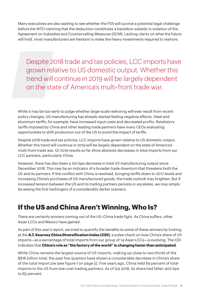Many executives are also waiting to see whether the FDII will survive a potential legal challenge before the WTO claiming that the deduction constitutes a backdoor subsidy in violation of the Agreement on Subsidies and Countervailing Measures (SCM). Lacking clarity on what the future will hold, most manufacturers are hesitant to make the heavy investments required to reshore.

Despite 2018 trade and tax policies, LCC imports have grown relative to US domestic output. Whether this trend will continue in 2019 will be largely dependent on the state of America's multi-front trade war.

While it may be too early to judge whether large-scale reshoring will ever result from recent policy changes, US manufacturing has already started feeling negative effects. Steel and aluminum tariffs, for example, have increased input costs and decreased profits. Retaliatory tariffs imposed by China and other leading trade partners have many CEOs evaluating opportunities to shift production out of the US to avoid the impact of tariffs.

Despite 2018 trade and tax policies, LCC imports have grown relative to US domestic output. Whether this trend will continue in 2019 will be largely dependent on the state of America's multi-front trade war. Q1 2019 results so far show absolute decreases in total imports from our LCC partners, particularly China.

However, there has also been a 150 bps decrease in total US manufacturing output since December 2018. This may be an indicator of a broader trade downturn that threatens both the US and its partners. If the conflict with China is resolved, bringing tariffs down to 2017 levels and increasing China's purchases of US manufactured goods, the trade outlook may brighten. But if increased tension between the US and its trading partners persists or escalates, we may simply be seeing the first harbingers of a considerably darker scenario.

# **If the US and China Aren't Winning, Who Is?**

There are certainly winners coming out of the US–China trade fight. As China suffers, other Asian LCCs and Mexico have gained.

As part of this year's report, we tried to quantify the benefits to some of these winners by looking at the **A.T. Kearney China Diversification Index (CDI)**, a pulse-check on how China's share of US imports—as a percentage of total imports from our group of 14 Asian LCCs—is evolving. The CDI indicates that **China's role as "the factory of the world" is changing faster than anticipated**.

While China remains the largest source of US imports, making up close to two-thirds of the \$816 billion total, the past five quarters have shown a considerable decrease in China's share of the total import pie (see figure 1 on page 5). Five years ago, China held 69 percent of total imports to the US from low-cost trading partners. As of Q4 2018, its share had fallen 400 bps to 65 percent.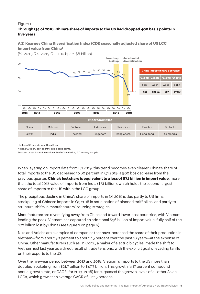### Figure 1

### **Through Q4 of 2018, China's share of imports to the US had dropped 400 basis points in five years**

### **A.T. Kearney China Diversification Index (CDI) seasonally adjusted share of US LCC import value from China1**

(%, 2013 Q4–2019 Q1, 100 bps = \$8 billion)



1 Includes US imports from Hong Kong

Notes: LCC is low-cost country. bps is basis points.

Sources: United States International Trade Commission; A.T. Kearney analysis

When layering on import data from Q1 2019, this trend becomes even clearer. China's share of total imports to the US decreased to 60 percent in Q1 2019, a 900 bps decrease from the previous quarter. **China's lost share is equivalent to a loss of \$72 billion in import value**, more than the total 2018 value of imports from India (\$51 billion), which holds the second-largest share of imports to the US within the LCC group.

The precipitous decline in China's share of imports in Q1 2019 is due partly to US firms' stockpiling of Chinese imports in Q3 2018 in anticipation of planned tariff hikes, and partly to structural shifts in manufacturers' sourcing strategies.

Manufacturers are diversifying away from China and toward lower-cost countries, with Vietnam leading the pack. Vietnam has captured an additional \$36 billion of import value, fully half of the \$72 billion lost by China (see figure 2 on page 6).

Nike and Adidas are examples of companies that have increased the share of their production in Vietnam—from about 30 percent to about 45 percent over the past 10 years—at the expense of China. Other manufacturers such as H1 Corp., a maker of electric bicycles, made the shift to Vietnam just last year as a direct result of trade tensions, with the explicit goal of evading tariffs on their exports to the US.

Over the five-year period between 2013 and 2018, Vietnam's imports to the US more than doubled, rocketing from \$21.7 billion to \$47.7 billion. This growth (a 17 percent compound annual growth rate, or CAGR, for 2013–2018) far surpassed the growth levels of all other Asian LCCs, which grew at an average CAGR of just 5 percent.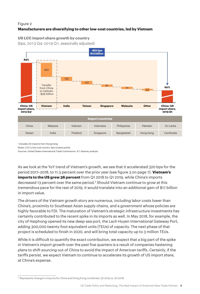### Figure 2 **Manufacturers are diversifying to other low-cost countries, led by Vietnam**

### **US LCC import share growth by country**

(bps, 2013 Q4–2019 Q1, seasonally adjusted)



1 Includes US imports from Hong Kong

Notes: LCC is low-cost country. bps is basis points.

Sources: United States International Trade Commission; A.T. Kearney analysis

As we look at the YoY trend of Vietnam's growth, we see that it accelerated 320 bps for the period 2017–2018, to 11.3 percent over the prior year (see figure 3 on page 7). **Vietnam's imports to the US grew 36 percent** from Q1 2018 to Q1 2019, while China's imports decreased 13 percent over the same period.2 Should Vietnam continue to grow at this tremendous pace for the rest of 2019, it would translate into an additional gain of \$17 billion in import value.

The drivers of the Vietnam growth story are numerous, including labor costs lower than China's, proximity to Southeast Asian supply chains, and a government whose policies are highly favorable to FDI. The maturation of Vietnam's strategic infrastructure investments has certainly contributed to the recent spike in its imports as well. In May 2018, for example, the city of Haiphong opened its new deep-sea port, the Lach Huyen International Gateway Port, adding 300,000 twenty-foot equivalent units (TEUs) of capacity. The next phase of that project is scheduled to finish in 2020, and will bring total capacity up to 3 million TEUs.

While it is difficult to quantify the exact contribution, we expect that a big part of the spike in Vietnam's import growth over the past five quarters is a result of companies hastening plans to shift sourcing out of China to avoid the impact of American tariffs. Certainly, if the tariffs persist, we expect Vietnam to continue to accelerate its growth of US import share, at China's expense.

<sup>2</sup> Represents change in imports for China and Hong Kong combined, Q1 2019 vs. Q1 2018.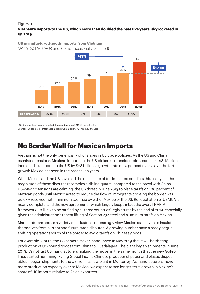### Figure 3

### **Vietnam's imports to the US, which more than doubled the past five years, skyrocketed in Q1 2019**

**US manufactured goods imports from Vietnam**  (2013–2019F, CAGR and \$ billion, seasonally adjusted)



1 2019 forecast seasonally adjusted; forecast based on 2019 Q1 import data. Sources: United States International Trade Commission; A.T. Kearney analysis

# **No Border Wall for Mexican Imports**

Vietnam is not the only beneficiary of changes in US trade policies. As the US and China escalated tensions, Mexican imports to the US picked up considerable steam. In 2018, Mexico increased its exports to the US by \$28 billion, a growth rate of 10 percent over 2017—the fastest growth Mexico has seen in the past seven years.

While Mexico and the US have had their fair share of trade-related conflicts this past year, the magnitude of these disputes resembles a sibling quarrel compared to the brawl with China. US–Mexico tensions are calming; the US threat in June 2019 to place tariffs on 100 percent of Mexican goods until Mexico acted to reduce the flow of immigrants crossing the border was quickly resolved, with minimum sacrifice by either Mexico or the US. Renegotiation of USMCA is nearly complete, and the new agreement—which largely keeps intact the overall NAFTA framework—is likely to be ratified by all three countries' legislatures by the end of 2019, especially given the administration's recent lifting of Section 232 steel and aluminum tariffs on Mexico.

Manufacturers across a variety of industries increasingly view Mexico as a haven to insulate themselves from current and future trade disputes. A growing number have already begun shifting operations south of the border to avoid tariffs on Chinese goods.

For example, GoPro, the US camera maker, announced in May 2019 that it will be shifting production of US-bound goods from China to Guadalajara. The plant began shipments in June 2019. It's not just US manufacturers making the move: in the same month that the new GoPro lines started humming, Fuling Global Inc.—a Chinese producer of paper and plastic disposables—began shipments to the US from its new plant in Monterrey. As manufacturers move more production capacity over to Mexico, we expect to see longer-term growth in Mexico's share of US imports relative to Asian exporters.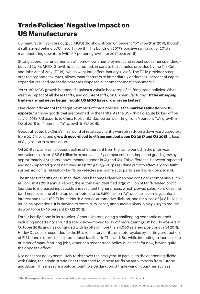# **Trade Policies' Negative Impact on US Manufacturers**

US manufacturing gross output (MGO) did show strong 6.1 percent YoY growth in 2018, though it still lagged behind LCC import growth. This builds on 2017's positive swing out of 2016's manufacturing downturn (with 5.7 percent growth for 2017 over 2016).

Strong economic fundamentals at home—low unemployment and robust consumer spending buoyed 2018's MGO. Growth is also credited, in part, to the stimulus provided by the Tax Cuts and Jobs Act of 2017 (TCJA), which went into effect January 1, 2018. The TCJA provides steep cuts to corporate tax rates, allows manufacturers to immediately deduct 100 percent of capital expenditures, and modestly increases disposable income for most consumers.3

Yet 2018's MGO growth happened against a volatile backdrop of shifting trade policies. What was the impact of all these tariffs, and counter-tariffs, on US manufacturing? **If the emerging trade wars had never begun, would US MGO have grown even faster?**

One clear indicator of the negative impact of trade policies is the **marked reduction in US exports** for those goods that are touched by the tariffs. As the US–China dispute kicked off on July 6, 2018, US exports to China took a 180-degree turn, shifting from 9 percent YoY growth in Q2 of 2018 to -9 percent YoY growth in Q3 2018.

Goods affected by China's first round of retaliatory tariffs were already on a downward trajectory from 2017 levels, and **growth nose-dived to -59 percent between Q3 2017 and Q3 2018**, a loss of \$3.5 billion in export value.

Q4 2018 saw an even steeper decline of 81 percent from the same period in the prior year, equivalent to a loss of \$8.6 billion in export value. By comparison, non-impacted goods grew by approximately 6,500 bps above impacted goods in Q3 and Q4. This differential between impacted and non-impacted goods narrowed in Q1 2019 to 1,300 bps as China put into effect a "good faith" suspension of its retaliatory tariffs on vehicles and some auto parts (see figure 4 on page 9).

The impact of tariffs on US manufacturers becomes clear when one considers companies such as Ford. In its 2018 annual report, the automaker identified \$750 million of tariff-related profit loss due to increased input costs and resultant higher prices, which slowed sales. Ford cites the tariff impact as one of the top contributors to its \$450 million YoY decline in earnings before interest and taxes (EBIT) for its North America automotive division, and for a loss of \$1.8 billion in its China operations. It is moving to contain its losses, announcing plans in May 2019 to reduce its workforce by 10 percent by Q3 2019.

Ford is hardly alone in its troubles. General Motors, citing a challenging economic outlook including uncertainty around trade policy—moved to lay off more than 17,000 hourly workers in October 2018, and has continued with layoffs of more than 4,000 salaried positions in Q1 2019. Harley Davidson responded to the EU's retaliatory tariffs on motorcycles by shifting production of EU-bound exports to its international facilities in Thailand. So, while intending to increase the number of manufacturing jobs, America's recent trade policy is, at least for now, having quite the opposite effect.

Nor does that policy seem likely to shift over the next year. In parallel to the deepening divide with China, the administration has threatened to impose tariffs on auto imports from Europe and Japan. This measure would amount to a declaration of trade war on countries such as

<sup>&</sup>lt;sup>3</sup> The TCJA expands first-year bonus depreciation for capital expenditures from 50 percent to 100 percent.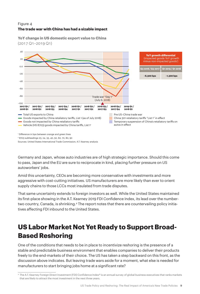### Figure 4 **The trade war with China has had a sizable impact**

**YoY change in US domestic export value to China** (2017 Q1–2019 Q1)



2 8703 subheadings 23, 24, 33, 40, 50, 60, 70, 80, 90

Sources: United States International Trade Commission; A.T. Kearney analysis

Germany and Japan, whose auto industries are of high strategic importance. Should this come to pass, Japan and the EU are sure to reciprocate in kind, placing further pressure on US autoworkers' jobs.

Amid this uncertainty, CEOs are becoming more conservative with investments and more aggressive with cost-cutting initiatives. US manufacturers are more likely than ever to orient supply chains to those LCCs most insulated from trade disputes.

That same uncertainty extends to foreign investors as well. While the United States maintained its first-place showing in the A.T. Kearney 2019 FDI Confidence Index, its lead over the numbertwo country, Canada, is shrinking.4 The report notes that there are countervailing policy initiatives affecting FDI inbound to the United States.

# **US Labor Market Not Yet Ready to Support Broad-Based Reshoring**

One of the conditions that needs to be in place to incentivize reshoring is the presence of a stable and predictable business environment that enables companies to deliver their products freely to the end-markets of their choice. The US has taken a step backward on this front, as the discussion above indicates. But leaving trade wars aside for a moment, what else is needed for manufacturers to start bringing jobs home at a significant rate?

<sup>4</sup> The A.T. Kearney Foreign Direct Investment (FDI) Confidence Index® is an annual survey of global business executives that ranks markets that are likely to attract the most investment in the next three years.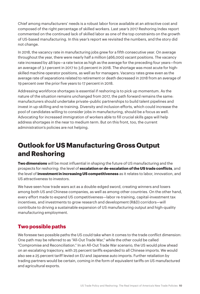Chief among manufacturers' needs is a robust labor force available at an attractive cost and composed of the right percentage of skilled workers. Last year's 2017 Reshoring Index report commented on the continued lack of skilled labor as one of the top constraints on the growth of US-based manufacturing. In this year's report we revisited the numbers, and the story did not change.

In 2018, the vacancy rate in manufacturing jobs grew for a fifth consecutive year. On average throughout the year, there were nearly half a million (466,000) vacant positions. The vacancy rate increased by 48 bps—a rate twice as high as the average for the preceding four years—from an average of 3.1 percent in 2017 to 3.6 percent in 2018. The shortage was most acute for highskilled machine operator positions, as well as for managers. Vacancy rates grew even as the average rate of separations related to retirement or death decreased in 2018 from an average of 19 percent over the prior five years to 17 percent in 2018.

Addressing workforce shortages is essential if reshoring is to pick up momentum. As the nature of the situation remains unchanged from 2017, the path forward remains the same: manufacturers should undertake private–public partnerships to build talent pipelines and invest in up-skilling and re-training. Diversity and inclusion efforts, which could increase the pool of candidates willing to consider jobs in manufacturing, should be a focus as well. Advocating for increased immigration of workers able to fill crucial skills gaps will help address shortages in the near to medium term. But on this front, too, the current administration's policies are not helping.

# **Outlook for US Manufacturing Gross Output and Reshoring**

**Two dimensions** will be most influential in shaping the future of US manufacturing and the prospects for reshoring: the level of **escalation or de-escalation of the US trade conflicts**, and the level of **investment in increasing US competitiveness** as it relates to labor, innovation, and US attractiveness to investors.

We have seen how trade wars act as a double-edged sword, creating winners and losers among both US and Chinese companies, as well as among other countries. On the other hand, every effort made to expand US competitiveness—labor re-training, capital-investment tax incentives, and investments to grow research and development (R&D) corridors—will contribute to driving a sustainable expansion of US manufacturing output and high-quality manufacturing employment.

## **Two possible paths**

We foresee two possible paths the US could take when it comes to the trade conflict dimension: One path may be referred to as "All-Out Trade War," while the other could be called "Compromise and Reconciliation." In an All-Out Trade War scenario, the US would plow ahead on an escalating trajectory, with 25 percent tariffs expanded to all Chinese imports. We would also see a 25 percent tariff levied on EU and Japanese auto imports. Further retaliation by trading partners would be certain, coming in the form of equivalent tariffs on US manufactured and agricultural exports.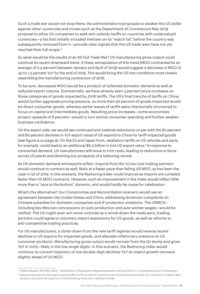Such a trade war would not stop there; the administration's proposals to weaken the US dollar against other currencies and moves such as the Department of Commerce's May 2019 proposal to allow US companies to seek anti-subsidy tariffs on countries with undervalued currencies—a list that initially included Vietnam on its "watch list" before the country was subsequently removed from it—provide clear signals that the US trade wars have not yet reached their full scope.5

So what would be the results of an All-Out Trade War? US manufacturing gross output could continue its recent downward trend. A linear extrapolation of this trend (MGO contracted by an average of 0.4 percent between January and April of 2019) would suggest a decrease in MGO of up to 1.5 percent YoY by the end of 2019. This would bring the US into conditions most closely resembling the manufacturing contraction of 2016.

To be sure, decreased MGO would be a product of softened domestic demand as well as reduced export volume. Domestically, we have already seen 3 percent price increases on those categories of goods impacted by 2018 tariffs. The US's final tranche of tariffs on China would further aggravate pricing pressure, as more than 50 percent of goods impacted would be direct consumer goods, whereas earlier waves of tariffs were intentionally structured to focus on capital and intermediate goods. Resulting price increases—some economists project upwards of 8 percent—would in turn stymie consumer spending and further weaken business confidence.

On the export side, we would see continued and material reductions on par with the 60 percent and 80 percent declines in YoY export value of US exports to China for tariff-impacted goods (see figure 4 on page 9). On the EU and Japan front, retaliatory tariffs on US vehicles and parts, for example, could lead to an additional \$6.5 billion in lost US export value.<sup>6</sup> In response to contracted demand, US manufacturers will move to trim costs, leading to reductions in force across US plants and dimming any prospects of a reshoring revival.

As US domestic demand and exports soften, imports from the 14 low-cost trading partners would continue to contract as well, likely at a faster pace than falling US MGO, as has been the case in Q1 of 2019. In this scenario, the Reshoring Index could improve as imports are curtailed faster than US MGO contracts. However, such an improvement in the Index would reflect little more than a "race to the bottom" dynamic, and would hardly be cause for celebration.

What's the alternative? Our Compromise and Reconciliation scenario would see an agreement between the United States and China, addressing American complaints on Chinese subsidies for domestic companies and IP protection violations. The USMCA including key Mexican concessions on auto production and auto worker wages—would be ratified. The US might even win some victories as it winds down the trade wars; trading partners could agree to voluntary import expansions for US goods, as well as reforms to anti-competitive trading practices.

For US manufacturers, a climb-down from the new tariff regimes would reverse recent declines in US exports for impacted goods, and alleviate inflationary pressure on US consumer products. Manufacturing gross output would recover from the Q1 slump and grow YoY in 2019—likely in the low single digits. In this scenario, the Reshoring Index would continue its current trajectory of low double-digit declines YoY as import growth recovers slightly ahead of US MGO.

<sup>5</sup> Federal Register RIN 0625-AB16: "Modification of Regulations Regarding Benefit and Specificity in Countervailing Duty Proceedings"

<sup>6</sup> Scenario assumes EU and Japan impose tariffs on HTS section 87 goods and the US experiences a similar YoY reduction to export value as seen in its section 87 exports to China following China List-1 retaliatory tariffs.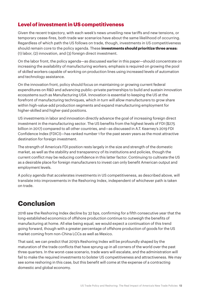# **Level of investment in US competitiveness**

Given the recent trajectory, with each week's news unveiling new tariffs and new tensions, or temporary cease-fires, both trade war scenarios have about the same likelihood of occurring. Regardless of which path the US follows on trade, though, investments in US competitiveness should remain core to the policy agenda. These **investments should prioritize three areas:** (1) labor, (2) innovation, and (3) foreign direct investment.

On the labor front, the policy agenda—as discussed earlier in this paper—should concentrate on increasing the availability of manufacturing workers; emphasis is required on growing the pool of skilled workers capable of working on production lines using increased levels of automation and technology assistance.

On the innovation front, policy should focus on maintaining or growing current federal expenditures on R&D and advancing public–private partnerships to build and sustain innovation ecosystems such as Manufacturing USA. Innovation is essential to keeping the US at the forefront of manufacturing techniques, which in turn will allow manufacturers to grow share within high-value-add production segments and expand manufacturing employment for higher-skilled and higher-paid positions.

US investments in labor and innovation directly advance the goal of increasing foreign direct investment in the manufacturing sector. The US benefits from the highest levels of FDI (\$275 billion in 2017) compared to all other countries, and—as discussed in [A.T. Kearney's 2019 FDI](https://www.atkearney.com/foreign-direct-investment-confidence-index)  [Confidence Index \(FDICI\)—](https://www.atkearney.com/foreign-direct-investment-confidence-index)has ranked number 1 for the past seven years as the most attractive destination for foreign investment.

The strength of America's FDI position rests largely in the size and strength of the domestic market, as well as the stability and transparency of its institutions and policies, though the current conflict may be reducing confidence in this latter factor. Continuing to cultivate the US as a desirable place for foreign manufacturers to invest can only benefit American output and employment levels.

A policy agenda that accelerates investments in US competitiveness, as described above, will translate into improvements in the Reshoring Index, independent of whichever path is taken on trade.

# **Conclusion**

2018 saw the Reshoring Index decline by 32 bps, confirming for a fifth consecutive year that the long-established economics of offshore production continue to outweigh the benefits of manufacturing at home. All else being equal, we would expect a continuation of this trend going forward, though with a greater percentage of offshore production of goods for the US market coming from non-China LCCs as well as Mexico.

That said, we can predict that 2019's Reshoring Index will be profoundly shaped by the maturation of the trade conflicts that have sprung up in all corners of the world over the past three quarters. In the worst-case scenario, trade wars will escalate, and the administration will fail to make the required investments to bolster US competitiveness and attractiveness. We may see some reshoring in this case, but this benefit will come at the expense of a contracting domestic and global economy.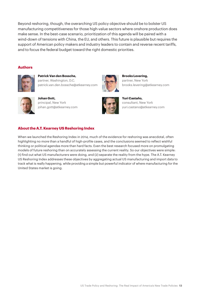Beyond reshoring, though, the overarching US policy objective should be to bolster US manufacturing competitiveness for those high-value sectors where onshore production does make sense. In the best-case scenario, prioritization of this agenda will be paired with a wind-down of tensions with China, the EU, and others. This future is plausible but requires the support of American policy makers and industry leaders to contain and reverse recent tariffs, and to focus the federal budget toward the right domestic priorities.

#### **Authors**



**Patrick Van den Bossche,** partner, Washington, D.C. patrick.van.den.bossche@atkearney.com



**Johan Gott,** principal, New York johan.gott@atkearney.com





brooks.levering@atkearney.com

**Brooks Levering,** partner, New York

consultant, New York yuri.castano@atkearney.com

#### **About the A.T. Kearney US Reshoring Index**

When we launched the Reshoring Index in 2014, much of the evidence for reshoring was anecdotal, often highlighting no more than a handful of high-profile cases, and the conclusions seemed to reflect wishful thinking or political agendas more than hard facts. Even the best research focused more on promulgating models of future reshoring than on accurately assessing the current reality. So our objectives were simple: (1) find out what US manufacturers were doing, and (2) separate the reality from the hype. The A.T. Kearney US Reshoring Index addresses these objectives by aggregating actual US manufacturing and import data to track what is really happening, while providing a simple but powerful indicator of where manufacturing for the United States market is going.